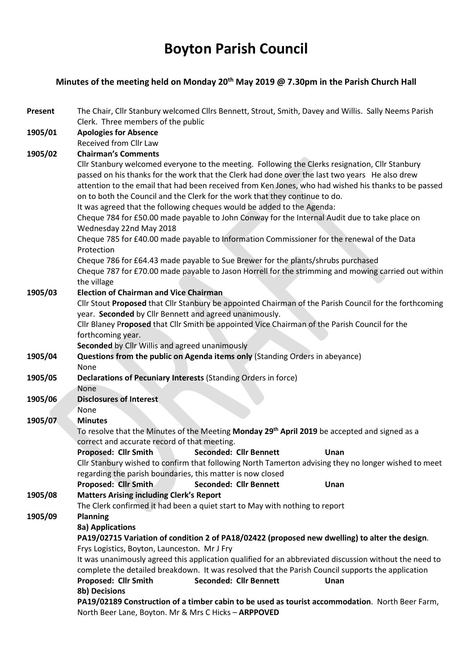# Boyton Parish Council

### Minutes of the meeting held on Monday 20<sup>th</sup> May 2019 @ 7.30pm in the Parish Church Hall

| <b>Present</b>                                                                                 | The Chair, Cllr Stanbury welcomed Cllrs Bennett, Strout, Smith, Davey and Willis. Sally Neems Parish<br>Clerk. Three members of the public                                                         |  |  |  |  |
|------------------------------------------------------------------------------------------------|----------------------------------------------------------------------------------------------------------------------------------------------------------------------------------------------------|--|--|--|--|
| 1905/01                                                                                        | <b>Apologies for Absence</b>                                                                                                                                                                       |  |  |  |  |
|                                                                                                | Received from Cllr Law                                                                                                                                                                             |  |  |  |  |
| 1905/02                                                                                        | <b>Chairman's Comments</b>                                                                                                                                                                         |  |  |  |  |
|                                                                                                | Cllr Stanbury welcomed everyone to the meeting. Following the Clerks resignation, Cllr Stanbury                                                                                                    |  |  |  |  |
|                                                                                                | passed on his thanks for the work that the Clerk had done over the last two years He also drew                                                                                                     |  |  |  |  |
|                                                                                                | attention to the email that had been received from Ken Jones, who had wished his thanks to be passed                                                                                               |  |  |  |  |
|                                                                                                | on to both the Council and the Clerk for the work that they continue to do.                                                                                                                        |  |  |  |  |
|                                                                                                | It was agreed that the following cheques would be added to the Agenda:<br>Cheque 784 for £50.00 made payable to John Conway for the Internal Audit due to take place on<br>Wednesday 22nd May 2018 |  |  |  |  |
|                                                                                                |                                                                                                                                                                                                    |  |  |  |  |
|                                                                                                | Cheque 785 for £40.00 made payable to Information Commissioner for the renewal of the Data                                                                                                         |  |  |  |  |
|                                                                                                | Protection                                                                                                                                                                                         |  |  |  |  |
|                                                                                                | Cheque 786 for £64.43 made payable to Sue Brewer for the plants/shrubs purchased                                                                                                                   |  |  |  |  |
|                                                                                                | Cheque 787 for £70.00 made payable to Jason Horrell for the strimming and mowing carried out within                                                                                                |  |  |  |  |
|                                                                                                | the village                                                                                                                                                                                        |  |  |  |  |
| 1905/03                                                                                        | <b>Election of Chairman and Vice Chairman</b>                                                                                                                                                      |  |  |  |  |
|                                                                                                | Cllr Stout Proposed that Cllr Stanbury be appointed Chairman of the Parish Council for the forthcoming                                                                                             |  |  |  |  |
|                                                                                                | year. Seconded by Cllr Bennett and agreed unanimously.                                                                                                                                             |  |  |  |  |
|                                                                                                | Cllr Blaney Proposed that Cllr Smith be appointed Vice Chairman of the Parish Council for the                                                                                                      |  |  |  |  |
|                                                                                                | forthcoming year.                                                                                                                                                                                  |  |  |  |  |
|                                                                                                | Seconded by Cllr Willis and agreed unanimously                                                                                                                                                     |  |  |  |  |
| 1905/04                                                                                        | Questions from the public on Agenda items only (Standing Orders in abeyance)                                                                                                                       |  |  |  |  |
|                                                                                                | None                                                                                                                                                                                               |  |  |  |  |
| 1905/05                                                                                        | Declarations of Pecuniary Interests (Standing Orders in force)                                                                                                                                     |  |  |  |  |
|                                                                                                | None                                                                                                                                                                                               |  |  |  |  |
| 1905/06                                                                                        | <b>Disclosures of Interest</b>                                                                                                                                                                     |  |  |  |  |
|                                                                                                | None                                                                                                                                                                                               |  |  |  |  |
| 1905/07                                                                                        | <b>Minutes</b><br>To resolve that the Minutes of the Meeting Monday 29 <sup>th</sup> April 2019 be accepted and signed as a                                                                        |  |  |  |  |
|                                                                                                | correct and accurate record of that meeting.                                                                                                                                                       |  |  |  |  |
|                                                                                                | <b>Seconded: Cllr Bennett</b><br>Proposed: Cllr Smith<br>Unan                                                                                                                                      |  |  |  |  |
|                                                                                                | Cllr Stanbury wished to confirm that following North Tamerton advising they no longer wished to meet                                                                                               |  |  |  |  |
|                                                                                                | regarding the parish boundaries, this matter is now closed                                                                                                                                         |  |  |  |  |
|                                                                                                | <b>Seconded: Cllr Bennett</b><br>Proposed: Cllr Smith<br>Unan                                                                                                                                      |  |  |  |  |
| 1905/08                                                                                        | <b>Matters Arising including Clerk's Report</b>                                                                                                                                                    |  |  |  |  |
|                                                                                                | The Clerk confirmed it had been a quiet start to May with nothing to report                                                                                                                        |  |  |  |  |
| 1905/09                                                                                        | <b>Planning</b>                                                                                                                                                                                    |  |  |  |  |
|                                                                                                | 8a) Applications                                                                                                                                                                                   |  |  |  |  |
| PA19/02715 Variation of condition 2 of PA18/02422 (proposed new dwelling) to alter the design. |                                                                                                                                                                                                    |  |  |  |  |
|                                                                                                | Frys Logistics, Boyton, Launceston. Mr J Fry                                                                                                                                                       |  |  |  |  |
|                                                                                                | It was unanimously agreed this application qualified for an abbreviated discussion without the need to                                                                                             |  |  |  |  |
|                                                                                                | complete the detailed breakdown. It was resolved that the Parish Council supports the application                                                                                                  |  |  |  |  |
|                                                                                                | <b>Seconded: Cllr Bennett</b><br>Proposed: Cllr Smith<br>Unan                                                                                                                                      |  |  |  |  |
|                                                                                                | 8b) Decisions                                                                                                                                                                                      |  |  |  |  |
|                                                                                                | PA19/02189 Construction of a timber cabin to be used as tourist accommodation. North Beer Farm,                                                                                                    |  |  |  |  |
|                                                                                                | North Beer Lane, Boyton. Mr & Mrs C Hicks - ARPPOVED                                                                                                                                               |  |  |  |  |